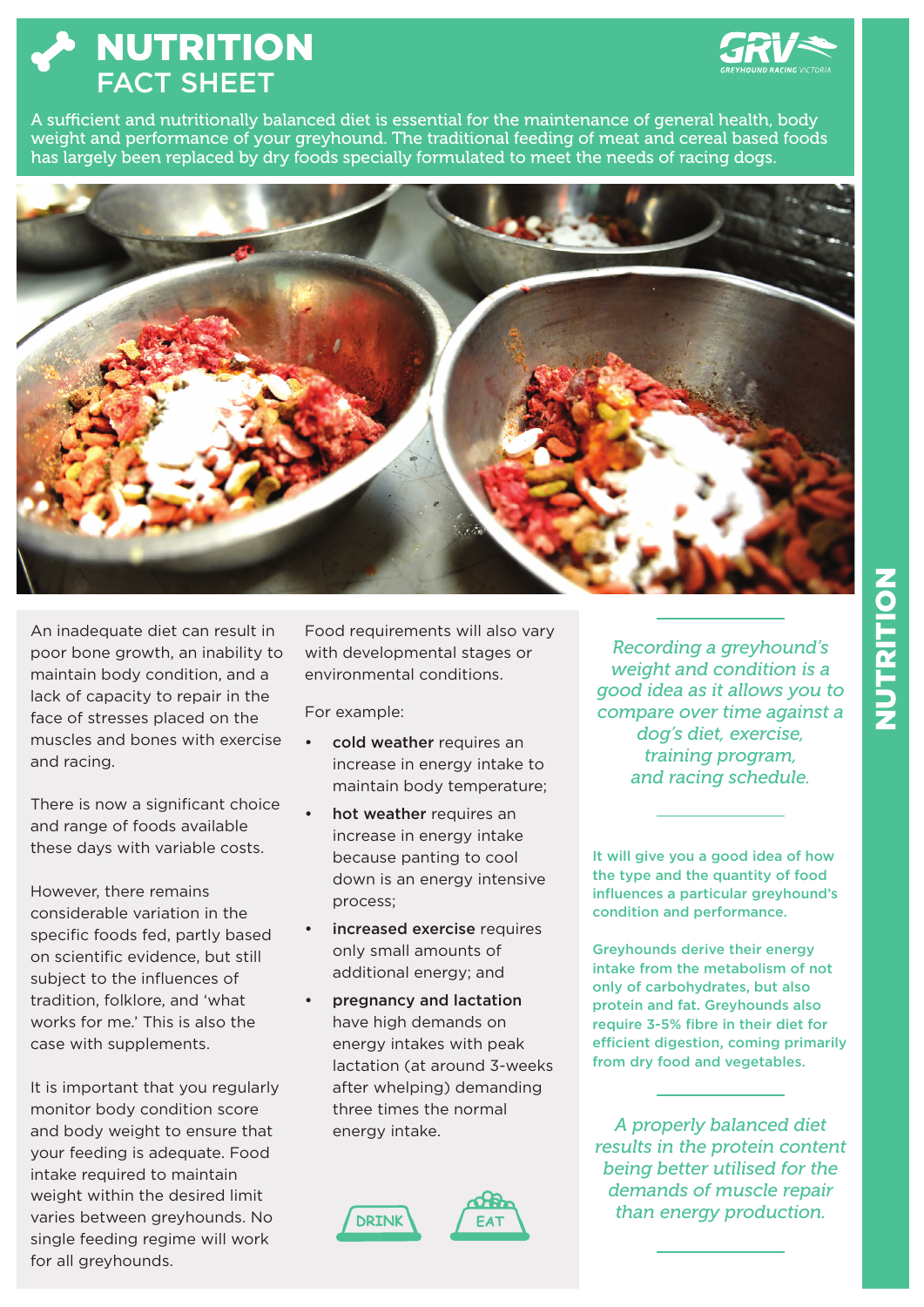NUTRITION FACT SHEET



A sufficient and nutritionally balanced diet is essential for the maintenance of general health, body weight and performance of your greyhound. The traditional feeding of meat and cereal based foods has largely been replaced by dry foods specially formulated to meet the needs of racing dogs.



An inadequate diet can result in poor bone growth, an inability to maintain body condition, and a lack of capacity to repair in the face of stresses placed on the muscles and bones with exercise and racing.

There is now a significant choice and range of foods available these days with variable costs.

However, there remains considerable variation in the specific foods fed, partly based on scientific evidence, but still subject to the influences of tradition, folklore, and 'what works for me.' This is also the case with supplements.

It is important that you regularly monitor body condition score and body weight to ensure that your feeding is adequate. Food intake required to maintain weight within the desired limit varies between greyhounds. No single feeding regime will work for all greyhounds.

Food requirements will also vary with developmental stages or environmental conditions.

For example:

- cold weather requires an increase in energy intake to maintain body temperature;
- hot weather requires an increase in energy intake because panting to cool down is an energy intensive process;
- increased exercise requires only small amounts of additional energy; and
- pregnancy and lactation have high demands on energy intakes with peak lactation (at around 3-weeks after whelping) demanding three times the normal energy intake.

FA<sup>-</sup>



*Recording a greyhound's weight and condition is a good idea as it allows you to compare over time against a dog's diet, exercise, training program, and racing schedule.* 

It will give you a good idea of how the type and the quantity of food influences a particular greyhound's condition and performance.

Greyhounds derive their energy intake from the metabolism of not only of carbohydrates, but also protein and fat. Greyhounds also require 3-5% fibre in their diet for efficient digestion, coming primarily from dry food and vegetables.

*A properly balanced diet results in the protein content being better utilised for the demands of muscle repair than energy production.*